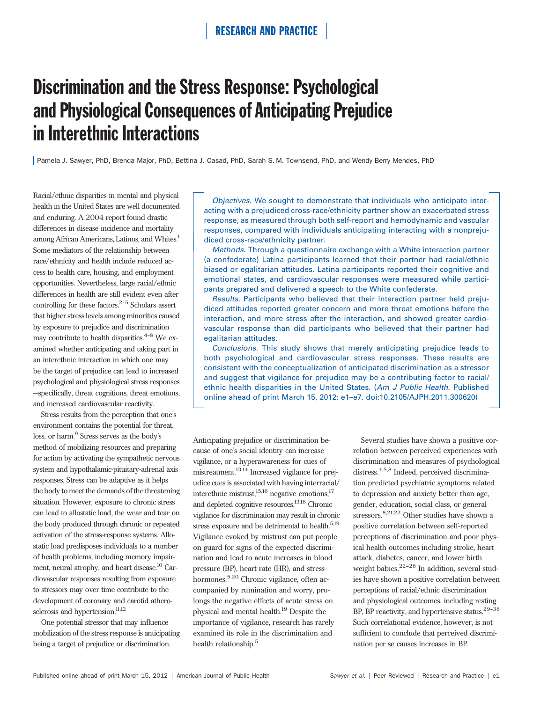# Discrimination and the Stress Response: Psychological and Physiological Consequences of Anticipating Prejudice in Interethnic Interactions

Pamela J. Sawyer, PhD, Brenda Major, PhD, Bettina J. Casad, PhD, Sarah S. M. Townsend, PhD, and Wendy Berry Mendes, PhD

Racial/ethnic disparities in mental and physical health in the United States are well documented and enduring. A 2004 report found drastic differences in disease incidence and mortality among African Americans, Latinos, and Whites.1 Some mediators of the relationship between race/ethnicity and health include reduced access to health care, housing, and employment opportunities. Nevertheless, large racial/ethnic differences in health are still evident even after controlling for these factors. $2-5$  Scholars assert that higher stress levels among minorities caused by exposure to prejudice and discrimination may contribute to health disparities. $4-8$  We examined whether anticipating and taking part in an interethnic interaction in which one may be the target of prejudice can lead to increased psychological and physiological stress responses —specifically, threat cognitions, threat emotions, and increased cardiovascular reactivity.

Stress results from the perception that one's environment contains the potential for threat, loss, or harm.<sup>9</sup> Stress serves as the body's method of mobilizing resources and preparing for action by activating the sympathetic nervous system and hypothalamic-pituitary-adrenal axis responses. Stress can be adaptive as it helps the body to meet the demands of the threatening situation. However, exposure to chronic stress can lead to allostatic load, the wear and tear on the body produced through chronic or repeated activation of the stress-response systems. Allostatic load predisposes individuals to a number of health problems, including memory impairment, neural atrophy, and heart disease.<sup>10</sup> Cardiovascular responses resulting from exposure to stressors may over time contribute to the development of coronary and carotid atherosclerosis and hypertension.<sup>11,12</sup>

One potential stressor that may influence mobilization of the stress response is anticipating being a target of prejudice or discrimination.

Objectives. We sought to demonstrate that individuals who anticipate interacting with a prejudiced cross-race/ethnicity partner show an exacerbated stress response, as measured through both self-report and hemodynamic and vascular responses, compared with individuals anticipating interacting with a nonprejudiced cross-race/ethnicity partner.

Methods. Through a questionnaire exchange with a White interaction partner (a confederate) Latina participants learned that their partner had racial/ethnic biased or egalitarian attitudes. Latina participants reported their cognitive and emotional states, and cardiovascular responses were measured while participants prepared and delivered a speech to the White confederate.

Results. Participants who believed that their interaction partner held prejudiced attitudes reported greater concern and more threat emotions before the interaction, and more stress after the interaction, and showed greater cardiovascular response than did participants who believed that their partner had egalitarian attitudes.

Conclusions. This study shows that merely anticipating prejudice leads to both psychological and cardiovascular stress responses. These results are consistent with the conceptualization of anticipated discrimination as a stressor and suggest that vigilance for prejudice may be a contributing factor to racial/ ethnic health disparities in the United States. (Am J Public Health. Published online ahead of print March 15, 2012: e1–e7. doi:10.2105/AJPH.2011.300620)

Anticipating prejudice or discrimination because of one's social identity can increase vigilance, or a hyperawareness for cues of mistreatment.13,14 Increased vigilance for prejudice cues is associated with having interracial/ interethnic mistrust, $15,16$  negative emotions, $17$ and depleted cognitive resources.13,18 Chronic vigilance for discrimination may result in chronic stress exposure and be detrimental to health.<sup>5,19</sup> Vigilance evoked by mistrust can put people on guard for signs of the expected discrimination and lead to acute increases in blood pressure (BP), heart rate (HR), and stress hormones.<sup>5,20</sup> Chronic vigilance, often accompanied by rumination and worry, prolongs the negative effects of acute stress on physical and mental health.19 Despite the importance of vigilance, research has rarely examined its role in the discrimination and health relationship.<sup>5</sup>

Several studies have shown a positive correlation between perceived experiences with discrimination and measures of psychological distress.<sup>4,5,8</sup> Indeed, perceived discrimination predicted psychiatric symptoms related to depression and anxiety better than age, gender, education, social class, or general stressors.  $8,21,22$  Other studies have shown a positive correlation between self-reported perceptions of discrimination and poor physical health outcomes including stroke, heart attack, diabetes, cancer, and lower birth weight babies. $22-28$  In addition, several studies have shown a positive correlation between perceptions of racial/ethnic discrimination and physiological outcomes, including resting BP, BP reactivity, and hypertensive status.<sup>29-36</sup> Such correlational evidence, however, is not sufficient to conclude that perceived discrimination per se causes increases in BP.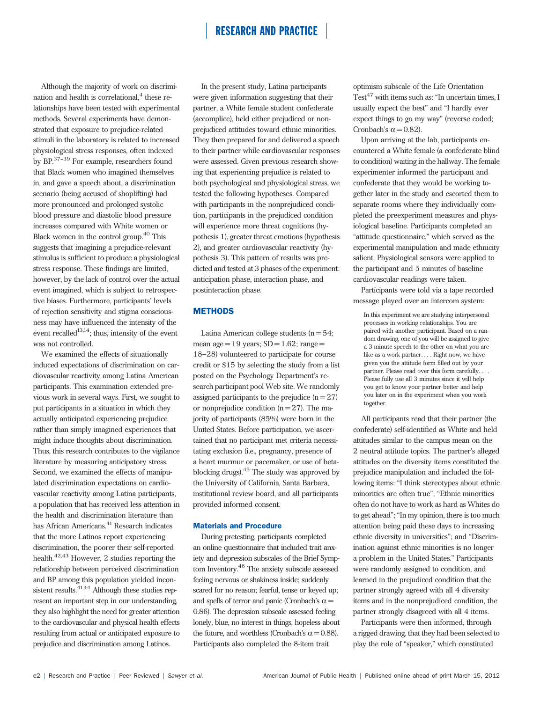Although the majority of work on discrimination and health is correlational, $4$  these relationships have been tested with experimental methods. Several experiments have demonstrated that exposure to prejudice-related stimuli in the laboratory is related to increased physiological stress responses, often indexed by  $BP^{37-39}$  For example, researchers found that Black women who imagined themselves in, and gave a speech about, a discrimination scenario (being accused of shoplifting) had more pronounced and prolonged systolic blood pressure and diastolic blood pressure increases compared with White women or Black women in the control group.<sup>40</sup> This suggests that imagining a prejudice-relevant stimulus is sufficient to produce a physiological stress response. These findings are limited, however, by the lack of control over the actual event imagined, which is subject to retrospective biases. Furthermore, participants' levels of rejection sensitivity and stigma consciousness may have influenced the intensity of the event recalled<sup>13,14</sup>; thus, intensity of the event was not controlled.

We examined the effects of situationally induced expectations of discrimination on cardiovascular reactivity among Latina American participants. This examination extended previous work in several ways. First, we sought to put participants in a situation in which they actually anticipated experiencing prejudice rather than simply imagined experiences that might induce thoughts about discrimination. Thus, this research contributes to the vigilance literature by measuring anticipatory stress. Second, we examined the effects of manipulated discrimination expectations on cardiovascular reactivity among Latina participants, a population that has received less attention in the health and discrimination literature than has African Americans.<sup>41</sup> Research indicates that the more Latinos report experiencing discrimination, the poorer their self-reported health.42,43 However, 2 studies reporting the relationship between perceived discrimination and BP among this population yielded inconsistent results. $41,44$  Although these studies represent an important step in our understanding, they also highlight the need for greater attention to the cardiovascular and physical health effects resulting from actual or anticipated exposure to prejudice and discrimination among Latinos.

In the present study, Latina participants were given information suggesting that their partner, a White female student confederate (accomplice), held either prejudiced or nonprejudiced attitudes toward ethnic minorities. They then prepared for and delivered a speech to their partner while cardiovascular responses were assessed. Given previous research showing that experiencing prejudice is related to both psychological and physiological stress, we tested the following hypotheses. Compared with participants in the nonprejudiced condition, participants in the prejudiced condition will experience more threat cognitions (hypothesis 1), greater threat emotions (hypothesis 2), and greater cardiovascular reactivity (hypothesis 3). This pattern of results was predicted and tested at 3 phases of the experiment: anticipation phase, interaction phase, and postinteraction phase.

# **METHODS**

Latina American college students  $(n = 54)$ ; mean age  $= 19$  years;  $SD = 1.62$ ; range  $=$ 18-28) volunteered to participate for course credit or \$15 by selecting the study from a list posted on the Psychology Department's research participant pool Web site. We randomly assigned participants to the prejudice  $(n = 27)$ or nonprejudice condition  $(n = 27)$ . The majority of participants (85%) were born in the United States. Before participation, we ascertained that no participant met criteria necessitating exclusion (i.e., pregnancy, presence of a heart murmur or pacemaker, or use of betablocking drugs).<sup>45</sup> The study was approved by the University of California, Santa Barbara, institutional review board, and all participants provided informed consent.

### Materials and Procedure

During pretesting, participants completed an online questionnaire that included trait anxiety and depression subscales of the Brief Symptom Inventory.46 The anxiety subscale assessed feeling nervous or shakiness inside; suddenly scared for no reason; fearful, tense or keyed up; and spells of terror and panic (Cronbach's  $\alpha =$ 0.86). The depression subscale assessed feeling lonely, blue, no interest in things, hopeless about the future, and worthless (Cronbach's  $\alpha = 0.88$ ). Participants also completed the 8-item trait

optimism subscale of the Life Orientation Test<sup>47</sup> with items such as: "In uncertain times, I usually expect the best" and "I hardly ever expect things to go my way" (reverse coded; Cronbach's  $\alpha$  = 0.82).

Upon arriving at the lab, participants encountered a White female (a confederate blind to condition) waiting in the hallway. The female experimenter informed the participant and confederate that they would be working together later in the study and escorted them to separate rooms where they individually completed the preexperiment measures and physiological baseline. Participants completed an "attitude questionnaire," which served as the experimental manipulation and made ethnicity salient. Physiological sensors were applied to the participant and 5 minutes of baseline cardiovascular readings were taken.

Participants were told via a tape recorded message played over an intercom system:

In this experiment we are studying interpersonal processes in working relationships. You are paired with another participant. Based on a random drawing, one of you will be assigned to give a 3-minute speech to the other on what you are like as a work partner... . Right now, we have given you the attitude form filled out by your partner. Please read over this form carefully... . Please fully use all 3 minutes since it will help you get to know your partner better and help you later on in the experiment when you work together.

All participants read that their partner (the confederate) self-identified as White and held attitudes similar to the campus mean on the 2 neutral attitude topics. The partner's alleged attitudes on the diversity items constituted the prejudice manipulation and included the following items: "I think stereotypes about ethnic minorities are often true"; "Ethnic minorities often do not have to work as hard as Whites do to get ahead"; "In my opinion, there is too much attention being paid these days to increasing ethnic diversity in universities"; and "Discrimination against ethnic minorities is no longer a problem in the United States." Participants were randomly assigned to condition, and learned in the prejudiced condition that the partner strongly agreed with all 4 diversity items and in the nonprejudiced condition, the partner strongly disagreed with all 4 items.

Participants were then informed, through a rigged drawing, that they had been selected to play the role of "speaker," which constituted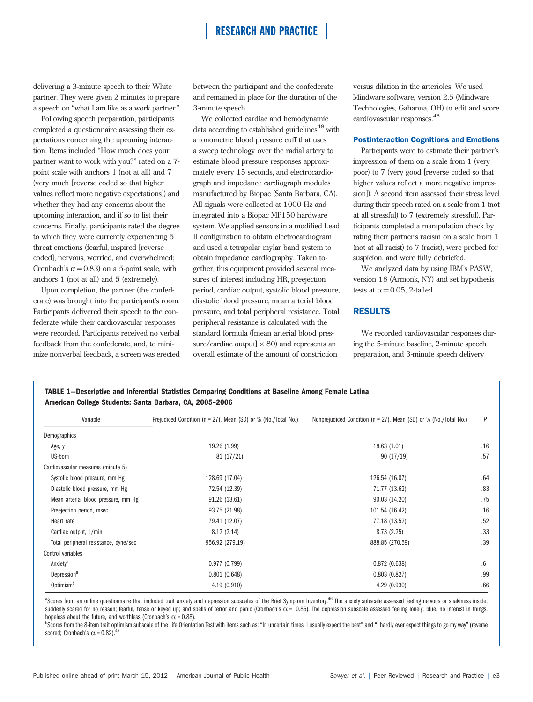delivering a 3-minute speech to their White partner. They were given 2 minutes to prepare a speech on "what I am like as a work partner."

Following speech preparation, participants completed a questionnaire assessing their expectations concerning the upcoming interaction. Items included "How much does your partner want to work with you?" rated on a 7 point scale with anchors 1 (not at all) and 7 (very much [reverse coded so that higher values reflect more negative expectations]) and whether they had any concerns about the upcoming interaction, and if so to list their concerns. Finally, participants rated the degree to which they were currently experiencing 5 threat emotions (fearful, inspired [reverse coded], nervous, worried, and overwhelmed; Cronbach's  $\alpha$  = 0.83) on a 5-point scale, with anchors 1 (not at all) and 5 (extremely).

Upon completion, the partner (the confederate) was brought into the participant's room. Participants delivered their speech to the confederate while their cardiovascular responses were recorded. Participants received no verbal feedback from the confederate, and, to minimize nonverbal feedback, a screen was erected between the participant and the confederate and remained in place for the duration of the 3-minute speech.

We collected cardiac and hemodynamic data according to established guidelines<sup> $48$ </sup> with a tonometric blood pressure cuff that uses a sweep technology over the radial artery to estimate blood pressure responses approximately every 15 seconds, and electrocardiograph and impedance cardiograph modules manufactured by Biopac (Santa Barbara, CA). All signals were collected at 1000 Hz and integrated into a Biopac MP150 hardware system. We applied sensors in a modified Lead II configuration to obtain electrocardiogram and used a tetrapolar mylar band system to obtain impedance cardiography. Taken together, this equipment provided several measures of interest including HR, preejection period, cardiac output, systolic blood pressure, diastolic blood pressure, mean arterial blood pressure, and total peripheral resistance. Total peripheral resistance is calculated with the standard formula ([mean arterial blood pressure/cardiac output]  $\times$  80) and represents an overall estimate of the amount of constriction

versus dilation in the arterioles. We used Mindware software, version 2.5 (Mindware Technologies, Gahanna, OH) to edit and score cardiovascular responses.<sup>45</sup>

### Postinteraction Cognitions and Emotions

Participants were to estimate their partner's impression of them on a scale from 1 (very poor) to 7 (very good [reverse coded so that higher values reflect a more negative impression]). A second item assessed their stress level during their speech rated on a scale from 1 (not at all stressful) to 7 (extremely stressful). Participants completed a manipulation check by rating their partner's racism on a scale from 1 (not at all racist) to 7 (racist), were probed for suspicion, and were fully debriefed.

We analyzed data by using IBM's PASW, version 18 (Armonk, NY) and set hypothesis tests at  $\alpha = 0.05$ , 2-tailed.

## RESULTS

We recorded cardiovascular responses during the 5-minute baseline, 2-minute speech preparation, and 3-minute speech delivery

## TABLE 1—Descriptive and Inferential Statistics Comparing Conditions at Baseline Among Female Latina American College Students: Santa Barbara, CA, 2005–2006

| Variable                              | Prejudiced Condition (n = 27), Mean (SD) or % (No./Total No.) | Nonprejudiced Condition ( $n = 27$ ), Mean (SD) or % (No./Total No.) | P   |
|---------------------------------------|---------------------------------------------------------------|----------------------------------------------------------------------|-----|
| Demographics                          |                                                               |                                                                      |     |
| Age, y                                | 19.26 (1.99)                                                  | 18.63 (1.01)                                                         | .16 |
| US-born                               | 81(17/21)                                                     | 90(17/19)                                                            | .57 |
| Cardiovascular measures (minute 5)    |                                                               |                                                                      |     |
| Systolic blood pressure, mm Hg        | 128.69 (17.04)                                                | 126.54 (16.07)                                                       | .64 |
| Diastolic blood pressure, mm Hg       | 72.54 (12.39)                                                 | 71.77 (13.62)                                                        | .83 |
| Mean arterial blood pressure, mm Hg   | 91.26 (13.61)                                                 | 90.03 (14.20)                                                        | .75 |
| Preejection period, msec              | 93.75 (21.98)                                                 | 101.54 (16.42)                                                       | .16 |
| Heart rate                            | 79.41 (12.07)                                                 | 77.18 (13.52)                                                        | .52 |
| Cardiac output, L/min                 | 8.12(2.14)                                                    | 8.73(2.25)                                                           | .33 |
| Total peripheral resistance, dyne/sec | 956.92 (279.19)                                               | 888.85 (270.59)                                                      | .39 |
| Control variables                     |                                                               |                                                                      |     |
| Anxiety <sup>a</sup>                  | 0.977(0.799)                                                  | 0.872(0.638)                                                         | .6  |
| Depression <sup>a</sup>               | 0.801(0.648)                                                  | 0.803(0.827)                                                         | .99 |
| Optimism <sup>b</sup>                 | 4.19(0.910)                                                   | 4.29 (0.930)                                                         | .66 |

<sup>a</sup>Scores from an online questionnaire that included trait anxiety and depression subscales of the Brief Symptom Inventory.<sup>46</sup> The anxiety subscale assessed feeling nervous or shakiness inside; suddenly scared for no reason; fearful, tense or keyed up; and spells of terror and panic (Cronbach's  $\alpha$  = 0.86). The depression subscale assessed feeling lonely, blue, no interest in things, hopeless about the future, and worthless (Cronbach's  $\alpha$  = 0.88).

<sup>b</sup>Scores from the 8-item trait optimism subscale of the Life Orientation Test with items such as: "In uncertain times, I usually expect the best" and "I hardly ever expect things to go my way" (reverse scored: Cronbach's  $\alpha$  = 0.82).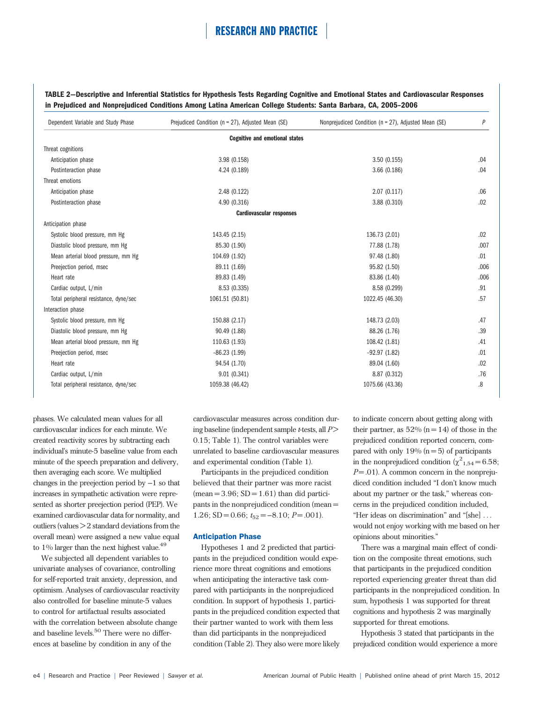TABLE 2—Descriptive and Inferential Statistics for Hypothesis Tests Regarding Cognitive and Emotional States and Cardiovascular Responses in Prejudiced and Nonprejudiced Conditions Among Latina American College Students: Santa Barbara, CA, 2005–2006

| Dependent Variable and Study Phase    | Prejudiced Condition ( $n = 27$ ), Adjusted Mean (SE) | Nonprejudiced Condition ( $n = 27$ ), Adjusted Mean (SE) | P    |
|---------------------------------------|-------------------------------------------------------|----------------------------------------------------------|------|
|                                       | <b>Cognitive and emotional states</b>                 |                                                          |      |
| Threat cognitions                     |                                                       |                                                          |      |
| Anticipation phase                    | 3.98 (0.158)                                          | 3.50(0.155)                                              | .04  |
| Postinteraction phase                 | 4.24 (0.189)                                          | 3.66 (0.186)                                             | .04  |
| Threat emotions                       |                                                       |                                                          |      |
| Anticipation phase                    | 2.48(0.122)                                           | 2.07(0.117)                                              | .06  |
| Postinteraction phase                 | 4.90 (0.316)                                          | 3.88 (0.310)                                             | .02  |
|                                       | <b>Cardiovascular responses</b>                       |                                                          |      |
| Anticipation phase                    |                                                       |                                                          |      |
| Systolic blood pressure, mm Hg        | 143.45 (2.15)                                         | 136.73 (2.01)                                            | .02  |
| Diastolic blood pressure, mm Hg       | 85.30 (1.90)                                          | 77.88 (1.78)                                             | .007 |
| Mean arterial blood pressure, mm Hg   | 104.69 (1.92)                                         | 97.48 (1.80)                                             | .01  |
| Preejection period, msec              | 89.11 (1.69)                                          | 95.82 (1.50)                                             | .006 |
| Heart rate                            | 89.83 (1.49)                                          | 83.86 (1.40)                                             | .006 |
| Cardiac output, L/min                 | 8.53 (0.335)                                          | 8.58 (0.299)                                             | .91  |
| Total peripheral resistance, dyne/sec | 1061.51 (50.81)                                       | 1022.45 (46.30)                                          | .57  |
| Interaction phase                     |                                                       |                                                          |      |
| Systolic blood pressure, mm Hg        | 150.88 (2.17)                                         | 148.73 (2.03)                                            | .47  |
| Diastolic blood pressure, mm Hg       | 90.49 (1.88)                                          | 88.26 (1.76)                                             | .39  |
| Mean arterial blood pressure, mm Hg   | 110.63 (1.93)                                         | 108.42 (1.81)                                            | .41  |
| Preejection period, msec              | $-86.23(1.99)$                                        | $-92.97(1.82)$                                           | .01  |
| Heart rate                            | 94.54 (1.70)                                          | 89.04 (1.60)                                             | .02  |
| Cardiac output, L/min                 | 9.01(0.341)                                           | 8.87 (0.312)                                             | .76  |
| Total peripheral resistance, dyne/sec | 1059.38 (46.42)                                       | 1075.66 (43.36)                                          | .8   |

phases. We calculated mean values for all cardiovascular indices for each minute. We created reactivity scores by subtracting each individual's minute-5 baseline value from each minute of the speech preparation and delivery, then averaging each score. We multiplied changes in the preejection period by  $-1$  so that increases in sympathetic activation were represented as shorter preejection period (PEP). We examined cardiovascular data for normality, and outliers (values > 2 standard deviations from the overall mean) were assigned a new value equal to 1% larger than the next highest value.<sup>49</sup>

We subjected all dependent variables to univariate analyses of covariance, controlling for self-reported trait anxiety, depression, and optimism. Analyses of cardiovascular reactivity also controlled for baseline minute-5 values to control for artifactual results associated with the correlation between absolute change and baseline levels.<sup>50</sup> There were no differences at baseline by condition in any of the

cardiovascular measures across condition during baseline (independent sample  $t$ -tests, all  $P$  > 0.15; Table 1). The control variables were unrelated to baseline cardiovascular measures and experimental condition (Table 1).

Participants in the prejudiced condition believed that their partner was more racist  $(mean = 3.96; SD = 1.61)$  than did participants in the nonprejudiced condition (mean = 1.26; SD = 0.66;  $t_{52}$  = -8.10; P = .001).

#### Anticipation Phase

Hypotheses 1 and 2 predicted that participants in the prejudiced condition would experience more threat cognitions and emotions when anticipating the interactive task compared with participants in the nonprejudiced condition. In support of hypothesis 1, participants in the prejudiced condition expected that their partner wanted to work with them less than did participants in the nonprejudiced condition (Table 2). They also were more likely

to indicate concern about getting along with their partner, as  $52\%$  (n = 14) of those in the prejudiced condition reported concern, compared with only  $19\%$  (n = 5) of participants in the nonprejudiced condition ( $\chi^2_{1,54} = 6.58$ ;  $P = .01$ ). A common concern in the nonprejudiced condition included "I don't know much about my partner or the task," whereas concerns in the prejudiced condition included, "Her ideas on discrimination" and "[she] ... would not enjoy working with me based on her opinions about minorities."

There was a marginal main effect of condition on the composite threat emotions, such that participants in the prejudiced condition reported experiencing greater threat than did participants in the nonprejudiced condition. In sum, hypothesis 1 was supported for threat cognitions and hypothesis 2 was marginally supported for threat emotions.

Hypothesis 3 stated that participants in the prejudiced condition would experience a more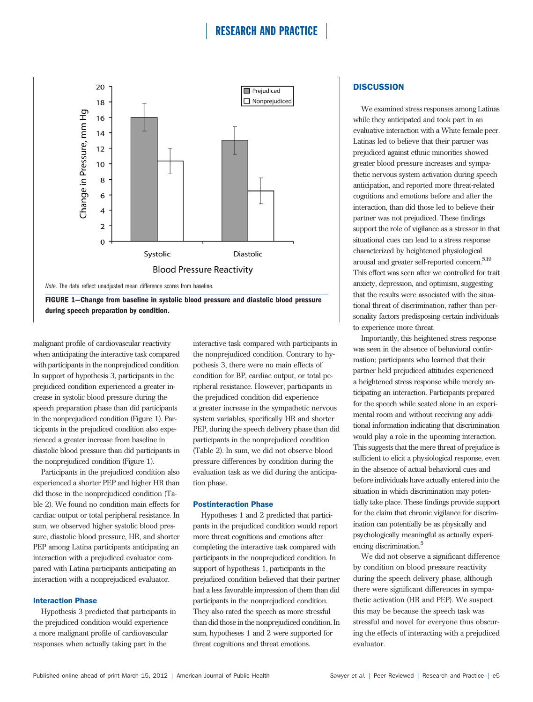

Note. The data reflect unadjusted mean difference scores from baseline.



malignant profile of cardiovascular reactivity when anticipating the interactive task compared with participants in the nonprejudiced condition. In support of hypothesis 3, participants in the prejudiced condition experienced a greater increase in systolic blood pressure during the speech preparation phase than did participants in the nonprejudiced condition (Figure 1). Participants in the prejudiced condition also experienced a greater increase from baseline in diastolic blood pressure than did participants in the nonprejudiced condition (Figure 1).

Participants in the prejudiced condition also experienced a shorter PEP and higher HR than did those in the nonprejudiced condition (Table 2). We found no condition main effects for cardiac output or total peripheral resistance. In sum, we observed higher systolic blood pressure, diastolic blood pressure, HR, and shorter PEP among Latina participants anticipating an interaction with a prejudiced evaluator compared with Latina participants anticipating an interaction with a nonprejudiced evaluator.

#### Interaction Phase

Hypothesis 3 predicted that participants in the prejudiced condition would experience a more malignant profile of cardiovascular responses when actually taking part in the

interactive task compared with participants in the nonprejudiced condition. Contrary to hypothesis 3, there were no main effects of condition for BP, cardiac output, or total peripheral resistance. However, participants in the prejudiced condition did experience a greater increase in the sympathetic nervous system variables, specifically HR and shorter PEP, during the speech delivery phase than did participants in the nonprejudiced condition (Table 2). In sum, we did not observe blood pressure differences by condition during the evaluation task as we did during the anticipation phase.

# Postinteraction Phase

Hypotheses 1 and 2 predicted that participants in the prejudiced condition would report more threat cognitions and emotions after completing the interactive task compared with participants in the nonprejudiced condition. In support of hypothesis 1, participants in the prejudiced condition believed that their partner had a less favorable impression of them than did participants in the nonprejudiced condition. They also rated the speech as more stressful than did those in the nonprejudiced condition. In sum, hypotheses 1 and 2 were supported for threat cognitions and threat emotions.

# **DISCUSSION**

We examined stress responses among Latinas while they anticipated and took part in an evaluative interaction with a White female peer. Latinas led to believe that their partner was prejudiced against ethnic minorities showed greater blood pressure increases and sympathetic nervous system activation during speech anticipation, and reported more threat-related cognitions and emotions before and after the interaction, than did those led to believe their partner was not prejudiced. These findings support the role of vigilance as a stressor in that situational cues can lead to a stress response characterized by heightened physiological arousal and greater self-reported concern.<sup>5,19</sup> This effect was seen after we controlled for trait anxiety, depression, and optimism, suggesting that the results were associated with the situational threat of discrimination, rather than personality factors predisposing certain individuals to experience more threat.

Importantly, this heightened stress response was seen in the absence of behavioral confirmation; participants who learned that their partner held prejudiced attitudes experienced a heightened stress response while merely anticipating an interaction. Participants prepared for the speech while seated alone in an experimental room and without receiving any additional information indicating that discrimination would play a role in the upcoming interaction. This suggests that the mere threat of prejudice is sufficient to elicit a physiological response, even in the absence of actual behavioral cues and before individuals have actually entered into the situation in which discrimination may potentially take place. These findings provide support for the claim that chronic vigilance for discrimination can potentially be as physically and psychologically meaningful as actually experiencing discrimination.<sup>5</sup>

We did not observe a significant difference by condition on blood pressure reactivity during the speech delivery phase, although there were significant differences in sympathetic activation (HR and PEP). We suspect this may be because the speech task was stressful and novel for everyone thus obscuring the effects of interacting with a prejudiced evaluator.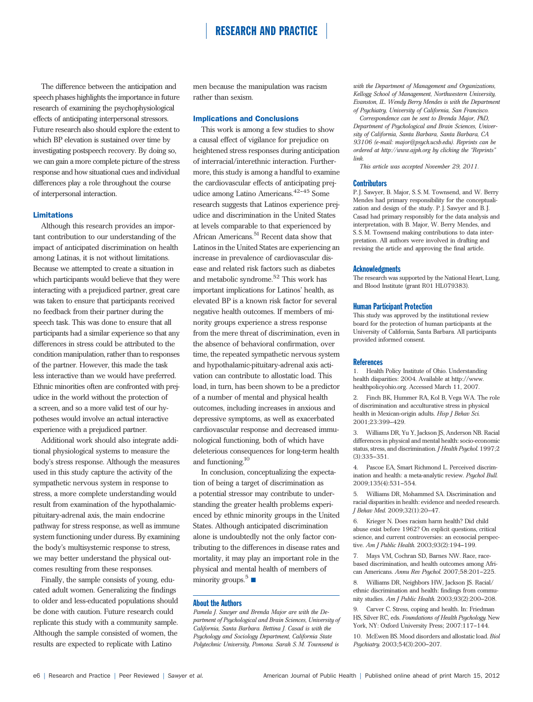The difference between the anticipation and speech phases highlights the importance in future research of examining the psychophysiological effects of anticipating interpersonal stressors. Future research also should explore the extent to which BP elevation is sustained over time by investigating postspeech recovery. By doing so, we can gain a more complete picture of the stress response and how situational cues and individual differences play a role throughout the course of interpersonal interaction.

### Limitations

Although this research provides an important contribution to our understanding of the impact of anticipated discrimination on health among Latinas, it is not without limitations. Because we attempted to create a situation in which participants would believe that they were interacting with a prejudiced partner, great care was taken to ensure that participants received no feedback from their partner during the speech task. This was done to ensure that all participants had a similar experience so that any differences in stress could be attributed to the condition manipulation, rather than to responses of the partner. However, this made the task less interactive than we would have preferred. Ethnic minorities often are confronted with prejudice in the world without the protection of a screen, and so a more valid test of our hypotheses would involve an actual interactive experience with a prejudiced partner.

Additional work should also integrate additional physiological systems to measure the body's stress response. Although the measures used in this study capture the activity of the sympathetic nervous system in response to stress, a more complete understanding would result from examination of the hypothalamicpituitary-adrenal axis, the main endocrine pathway for stress response, as well as immune system functioning under duress. By examining the body's multisystemic response to stress, we may better understand the physical outcomes resulting from these responses.

Finally, the sample consists of young, educated adult women. Generalizing the findings to older and less-educated populations should be done with caution. Future research could replicate this study with a community sample. Although the sample consisted of women, the results are expected to replicate with Latino

men because the manipulation was racism rather than sexism.

#### Implications and Conclusions

This work is among a few studies to show a causal effect of vigilance for prejudice on heightened stress responses during anticipation of interracial/interethnic interaction. Furthermore, this study is among a handful to examine the cardiovascular effects of anticipating prejudice among Latino Americans. $42-45$  Some research suggests that Latinos experience prejudice and discrimination in the United States at levels comparable to that experienced by African Americans.<sup>51</sup> Recent data show that Latinos in the United States are experiencing an increase in prevalence of cardiovascular disease and related risk factors such as diabetes and metabolic syndrome.<sup>52</sup> This work has important implications for Latinos' health, as elevated BP is a known risk factor for several negative health outcomes. If members of minority groups experience a stress response from the mere threat of discrimination, even in the absence of behavioral confirmation, over time, the repeated sympathetic nervous system and hypothalamic-pituitary-adrenal axis activation can contribute to allostatic load. This load, in turn, has been shown to be a predictor of a number of mental and physical health outcomes, including increases in anxious and depressive symptoms, as well as exacerbated cardiovascular response and decreased immunological functioning, both of which have deleterious consequences for long-term health and functioning.10

In conclusion, conceptualizing the expectation of being a target of discrimination as a potential stressor may contribute to understanding the greater health problems experienced by ethnic minority groups in the United States. Although anticipated discrimination alone is undoubtedly not the only factor contributing to the differences in disease rates and mortality, it may play an important role in the physical and mental health of members of minority groups.<sup>5</sup>

### About the Authors

Pamela J. Sawyer and Brenda Major are with the Department of Psychological and Brain Sciences, University of California, Santa Barbara. Bettina J. Casad is with the Psychology and Sociology Department, California State Polytechnic University, Pomona. Sarah S. M. Townsend is

with the Department of Management and Organizations, Kellogg School of Management, Northwestern University, Evanston, IL. Wendy Berry Mendes is with the Department of Psychiatry, University of California, San Francisco.

Correspondence can be sent to Brenda Major, PhD, Department of Psychological and Brain Sciences, University of California, Santa Barbara, Santa Barbara, CA 93106 (e-mail: [major@psych.ucsb.edu\)](mailto:major@psych.ucsb.edu). Reprints can be ordered at http://www.ajph.org by clicking the "Reprints" link.

This article was accepted November 29, 2011.

#### **Contributors**

P. J. Sawyer, B. Major, S. S. M. Townsend, and W. Berry Mendes had primary responsibility for the conceptualization and design of the study. P. J. Sawyer and B. J. Casad had primary responsibly for the data analysis and interpretation, with B. Major, W. Berry Mendes, and S. S. M. Townsend making contributions to data interpretation. All authors were involved in drafting and revising the article and approving the final article.

#### **Acknowledgments**

The research was supported by the National Heart, Lung, and Blood Institute (grant R01 HL079383).

#### Human Participant Protection

This study was approved by the institutional review board for the protection of human participants at the University of California, Santa Barbara. All participants provided informed consent.

#### References

1. Health Policy Institute of Ohio. Understanding health disparities: 2004. Available at [http://www.](http://www.healthpolicyohio.org) [healthpolicyohio.org](http://www.healthpolicyohio.org). Accessed March 11, 2007.

2. Finch BK, Hummer RA, Kol B, Vega WA. The role of discrimination and acculturative stress in physical health in Mexican-origin adults. Hisp J Behav Sci. 2001;23:399-429.

3. Williams DR, Yu Y, Jackson JS, Anderson NB. Racial differences in physical and mental health: socio-economic status, stress, and discrimination. J Health Psychol. 1997;2  $(3):335-351.$ 

4. Pascoe EA, Smart Richmond L. Perceived discrimination and health: a meta-analytic review. Psychol Bull.  $2009:135(4):531-554.$ 

5. Williams DR, Mohammed SA. Discrimination and racial disparities in health: evidence and needed research. J Behav Med. 2009;32(1):20-47.

6. Krieger N. Does racism harm health? Did child abuse exist before 1962? On explicit questions, critical science, and current controversies: an ecosocial perspective. Am J Public Health. 2003;93(2):194-199.

7. Mays VM, Cochran SD, Barnes NW. Race, racebased discrimination, and health outcomes among African Americans. Annu Rev Psychol. 2007;58:201-225.

8. Williams DR, Neighbors HW, Jackson JS. Racial/ ethnic discrimination and health: findings from community studies.  $AmJ$  Public Health. 2003;93(2):200-208.

9. Carver C. Stress, coping and health. In: Friedman HS, Silver RC, eds. Foundations of Health Psychology. New York, NY: Oxford University Press; 2007:117-144.

10. McEwen BS. Mood disorders and allostatic load. Biol Psychiatry. 2003;54(3):200-207.